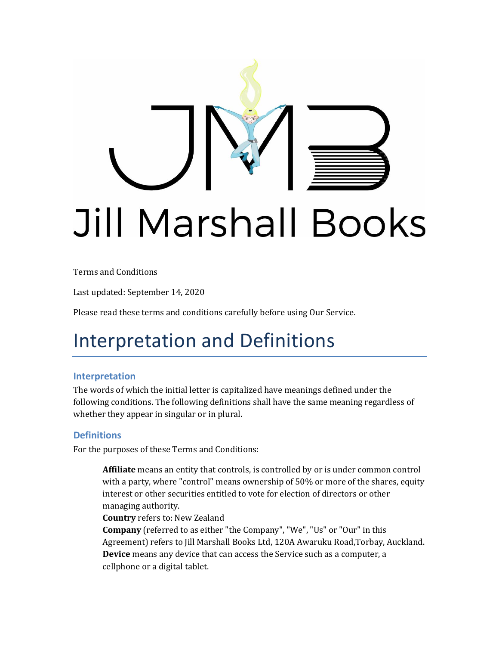

Terms and Conditions

Last updated: September 14, 2020

Please read these terms and conditions carefully before using Our Service.

#### Interpretation and Definitions

#### **Interpretation**

The words of which the initial letter is capitalized have meanings defined under the following conditions. The following definitions shall have the same meaning regardless of whether they appear in singular or in plural.

#### **Definitions**

For the purposes of these Terms and Conditions:

**Affiliate** means an entity that controls, is controlled by or is under common control with a party, where "control" means ownership of 50% or more of the shares, equity interest or other securities entitled to vote for election of directors or other managing authority.

**Country** refers to: New Zealand

**Company** (referred to as either "the Company", "We", "Us" or "Our" in this Agreement) refers to Jill Marshall Books Ltd, 120A Awaruku Road,Torbay, Auckland. **Device** means any device that can access the Service such as a computer, a cellphone or a digital tablet.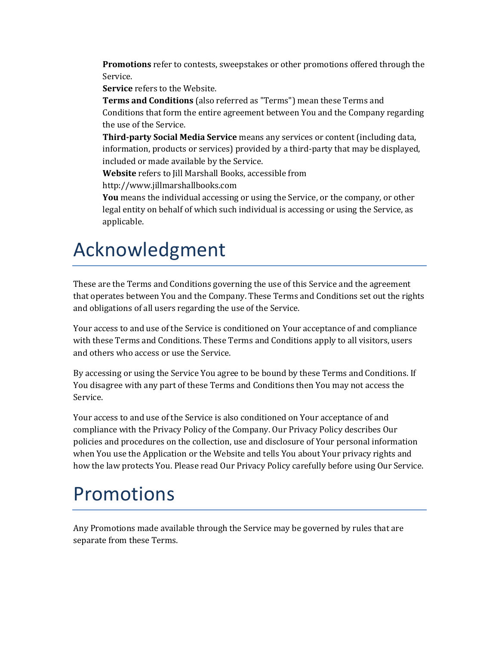**Promotions** refer to contests, sweepstakes or other promotions offered through the Service.

**Service** refers to the Website.

**Terms and Conditions** (also referred as "Terms") mean these Terms and Conditions that form the entire agreement between You and the Company regarding the use of the Service.

**Third-party Social Media Service** means any services or content (including data, information, products or services) provided by a third-party that may be displayed, included or made available by the Service.

**Website** refers to Jill Marshall Books, accessible from

[http://www.jillmarshallbooks.com](http://www.jillmarshallbooks.com/)

**You** means the individual accessing or using the Service, or the company, or other legal entity on behalf of which such individual is accessing or using the Service, as applicable.

### Acknowledgment

These are the Terms and Conditions governing the use of this Service and the agreement that operates between You and the Company. These Terms and Conditions set out the rights and obligations of all users regarding the use of the Service.

Your access to and use of the Service is conditioned on Your acceptance of and compliance with these Terms and Conditions. These Terms and Conditions apply to all visitors, users and others who access or use the Service.

By accessing or using the Service You agree to be bound by these Terms and Conditions. If You disagree with any part of these Terms and Conditions then You may not access the Service.

Your access to and use of the Service is also conditioned on Your acceptance of and compliance with the Privacy Policy of the Company. Our Privacy Policy describes Our policies and procedures on the collection, use and disclosure of Your personal information when You use the Application or the Website and tells You about Your privacy rights and how the law protects You. Please read Our Privacy Policy carefully before using Our Service.

#### Promotions

Any Promotions made available through the Service may be governed by rules that are separate from these Terms.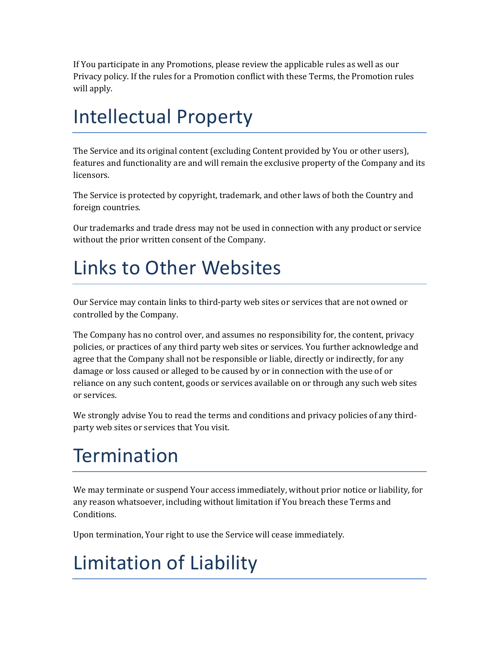If You participate in any Promotions, please review the applicable rules as well as our Privacy policy. If the rules for a Promotion conflict with these Terms, the Promotion rules will apply.

## Intellectual Property

The Service and its original content (excluding Content provided by You or other users), features and functionality are and will remain the exclusive property of the Company and its licensors.

The Service is protected by copyright, trademark, and other laws of both the Country and foreign countries.

Our trademarks and trade dress may not be used in connection with any product or service without the prior written consent of the Company.

# Links to Other Websites

Our Service may contain links to third-party web sites or services that are not owned or controlled by the Company.

The Company has no control over, and assumes no responsibility for, the content, privacy policies, or practices of any third party web sites or services. You further acknowledge and agree that the Company shall not be responsible or liable, directly or indirectly, for any damage or loss caused or alleged to be caused by or in connection with the use of or reliance on any such content, goods or services available on or through any such web sites or services.

We strongly advise You to read the terms and conditions and privacy policies of any thirdparty web sites or services that You visit.

# **Termination**

We may terminate or suspend Your access immediately, without prior notice or liability, for any reason whatsoever, including without limitation if You breach these Terms and Conditions.

Upon termination, Your right to use the Service will cease immediately.

# Limitation of Liability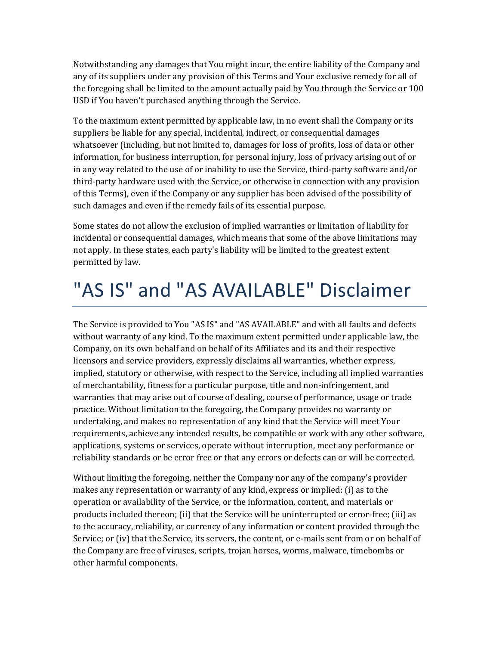Notwithstanding any damages that You might incur, the entire liability of the Company and any of its suppliers under any provision of this Terms and Your exclusive remedy for all of the foregoing shall be limited to the amount actually paid by You through the Service or 100 USD if You haven't purchased anything through the Service.

To the maximum extent permitted by applicable law, in no event shall the Company or its suppliers be liable for any special, incidental, indirect, or consequential damages whatsoever (including, but not limited to, damages for loss of profits, loss of data or other information, for business interruption, for personal injury, loss of privacy arising out of or in any way related to the use of or inability to use the Service, third-party software and/or third-party hardware used with the Service, or otherwise in connection with any provision of this Terms), even if the Company or any supplier has been advised of the possibility of such damages and even if the remedy fails of its essential purpose.

Some states do not allow the exclusion of implied warranties or limitation of liability for incidental or consequential damages, which means that some of the above limitations may not apply. In these states, each party's liability will be limited to the greatest extent permitted by law.

# "AS IS" and "AS AVAILABLE" Disclaimer

The Service is provided to You "AS IS" and "AS AVAILABLE" and with all faults and defects without warranty of any kind. To the maximum extent permitted under applicable law, the Company, on its own behalf and on behalf of its Affiliates and its and their respective licensors and service providers, expressly disclaims all warranties, whether express, implied, statutory or otherwise, with respect to the Service, including all implied warranties of merchantability, fitness for a particular purpose, title and non-infringement, and warranties that may arise out of course of dealing, course of performance, usage or trade practice. Without limitation to the foregoing, the Company provides no warranty or undertaking, and makes no representation of any kind that the Service will meet Your requirements, achieve any intended results, be compatible or work with any other software, applications, systems or services, operate without interruption, meet any performance or reliability standards or be error free or that any errors or defects can or will be corrected.

Without limiting the foregoing, neither the Company nor any of the company's provider makes any representation or warranty of any kind, express or implied: (i) as to the operation or availability of the Service, or the information, content, and materials or products included thereon; (ii) that the Service will be uninterrupted or error-free; (iii) as to the accuracy, reliability, or currency of any information or content provided through the Service; or (iv) that the Service, its servers, the content, or e-mails sent from or on behalf of the Company are free of viruses, scripts, trojan horses, worms, malware, timebombs or other harmful components.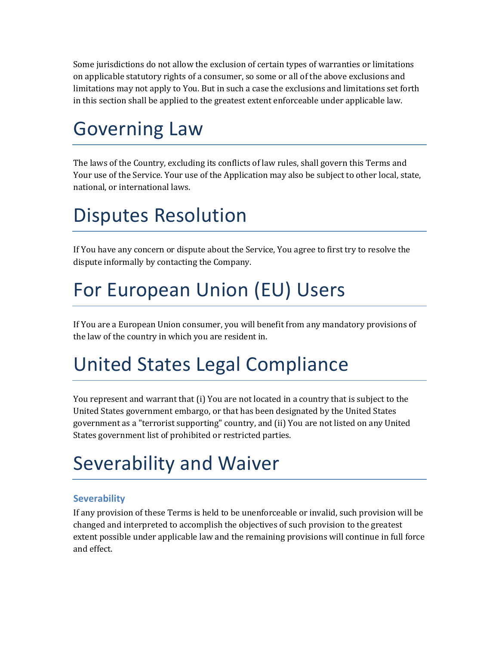Some jurisdictions do not allow the exclusion of certain types of warranties or limitations on applicable statutory rights of a consumer, so some or all of the above exclusions and limitations may not apply to You. But in such a case the exclusions and limitations set forth in this section shall be applied to the greatest extent enforceable under applicable law.

### Governing Law

The laws of the Country, excluding its conflicts of law rules, shall govern this Terms and Your use of the Service. Your use of the Application may also be subject to other local, state, national, or international laws.

## Disputes Resolution

If You have any concern or dispute about the Service, You agree to first try to resolve the dispute informally by contacting the Company.

## For European Union (EU) Users

If You are a European Union consumer, you will benefit from any mandatory provisions of the law of the country in which you are resident in.

# United States Legal Compliance

You represent and warrant that (i) You are not located in a country that is subject to the United States government embargo, or that has been designated by the United States government as a "terrorist supporting" country, and (ii) You are not listed on any United States government list of prohibited or restricted parties.

# Severability and Waiver

#### **Severability**

If any provision of these Terms is held to be unenforceable or invalid, such provision will be changed and interpreted to accomplish the objectives of such provision to the greatest extent possible under applicable law and the remaining provisions will continue in full force and effect.